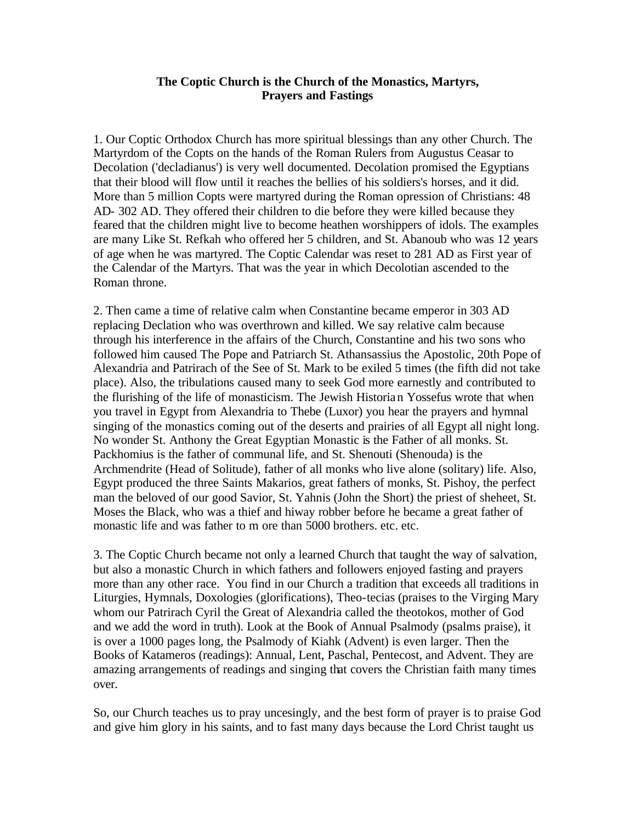#### **The Coptic Church is the Church of the Monastics, Martyrs, Prayers and Fastings**

1. Our Coptic Orthodox Church has more spiritual blessings than any other Church. The Martyrdom of the Copts on the hands of the Roman Rulers from Augustus Ceasar to Decolation ('decladianus') is very well documented. Decolation promised the Egyptians that their blood will flow until it reaches the bellies of his soldiers's horses, and it did. More than 5 million Copts were martyred during the Roman opression of Christians: 48 AD- 302 AD. They offered their children to die before they were killed because they feared that the children might live to become heathen worshippers of idols. The examples are many Like St. Refkah who offered her 5 children, and St. Abanoub who was 12 years of age when he was martyred. The Coptic Calendar was reset to 281 AD as First year of the Calendar of the Martyrs. That was the year in which Decolotian ascended to the Roman throne.

2. Then came a time of relative calm when Constantine became emperor in 303 AD replacing Declation who was overthrown and killed. We say relative calm because through his interference in the affairs of the Church, Constantine and his two sons who followed him caused The Pope and Patriarch St. Athansassius the Apostolic, 20th Pope of Alexandria and Patrirach of the See of St. Mark to be exiled 5 times (the fifth did not take place). Also, the tribulations caused many to seek God more earnestly and contributed to the flurishing of the life of monasticism. The Jewish Historian Yossefus wrote that when you travel in Egypt from Alexandria to Thebe (Luxor) you hear the prayers and hymnal singing of the monastics coming out of the deserts and prairies of all Egypt all night long. No wonder St. Anthony the Great Egyptian Monastic is the Father of all monks. St. Packhomius is the father of communal life, and St. Shenouti (Shenouda) is the Archmendrite (Head of Solitude), father of all monks who live alone (solitary) life. Also, Egypt produced the three Saints Makarios, great fathers of monks, St. Pishoy, the perfect man the beloved of our good Savior, St. Yahnis (John the Short) the priest of sheheet, St. Moses the Black, who was a thief and hiway robber before he became a great father of monastic life and was father to m ore than 5000 brothers. etc. etc.

3. The Coptic Church became not only a learned Church that taught the way of salvation, but also a monastic Church in which fathers and followers enjoyed fasting and prayers more than any other race. You find in our Church a tradition that exceeds all traditions in Liturgies, Hymnals, Doxologies (glorifications), Theo-tecias (praises to the Virging Mary whom our Patrirach Cyril the Great of Alexandria called the theotokos, mother of God and we add the word in truth). Look at the Book of Annual Psalmody (psalms praise), it is over a 1000 pages long, the Psalmody of Kiahk (Advent) is even larger. Then the Books of Katameros (readings): Annual, Lent, Paschal, Pentecost, and Advent. They are amazing arrangements of readings and singing that covers the Christian faith many times over.

So, our Church teaches us to pray uncesingly, and the best form of prayer is to praise God and give him glory in his saints, and to fast many days because the Lord Christ taught us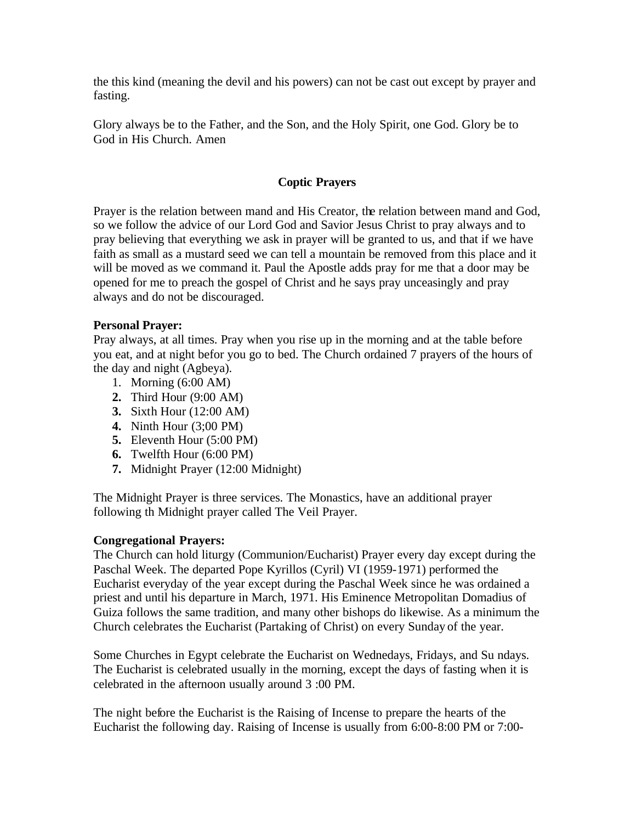the this kind (meaning the devil and his powers) can not be cast out except by prayer and fasting.

Glory always be to the Father, and the Son, and the Holy Spirit, one God. Glory be to God in His Church. Amen

# **Coptic Prayers**

Prayer is the relation between mand and His Creator, the relation between mand and God, so we follow the advice of our Lord God and Savior Jesus Christ to pray always and to pray believing that everything we ask in prayer will be granted to us, and that if we have faith as small as a mustard seed we can tell a mountain be removed from this place and it will be moved as we command it. Paul the Apostle adds pray for me that a door may be opened for me to preach the gospel of Christ and he says pray unceasingly and pray always and do not be discouraged.

### **Personal Prayer:**

Pray always, at all times. Pray when you rise up in the morning and at the table before you eat, and at night befor you go to bed. The Church ordained 7 prayers of the hours of the day and night (Agbeya).

- 1. Morning (6:00 AM)
- **2.** Third Hour (9:00 AM)
- **3.** Sixth Hour (12:00 AM)
- **4.** Ninth Hour (3;00 PM)
- **5.** Eleventh Hour (5:00 PM)
- **6.** Twelfth Hour (6:00 PM)
- **7.** Midnight Prayer (12:00 Midnight)

The Midnight Prayer is three services. The Monastics, have an additional prayer following th Midnight prayer called The Veil Prayer.

### **Congregational Prayers:**

The Church can hold liturgy (Communion/Eucharist) Prayer every day except during the Paschal Week. The departed Pope Kyrillos (Cyril) VI (1959-1971) performed the Eucharist everyday of the year except during the Paschal Week since he was ordained a priest and until his departure in March, 1971. His Eminence Metropolitan Domadius of Guiza follows the same tradition, and many other bishops do likewise. As a minimum the Church celebrates the Eucharist (Partaking of Christ) on every Sunday of the year.

Some Churches in Egypt celebrate the Eucharist on Wednedays, Fridays, and Su ndays. The Eucharist is celebrated usually in the morning, except the days of fasting when it is celebrated in the afternoon usually around 3 :00 PM.

The night before the Eucharist is the Raising of Incense to prepare the hearts of the Eucharist the following day. Raising of Incense is usually from 6:00-8:00 PM or 7:00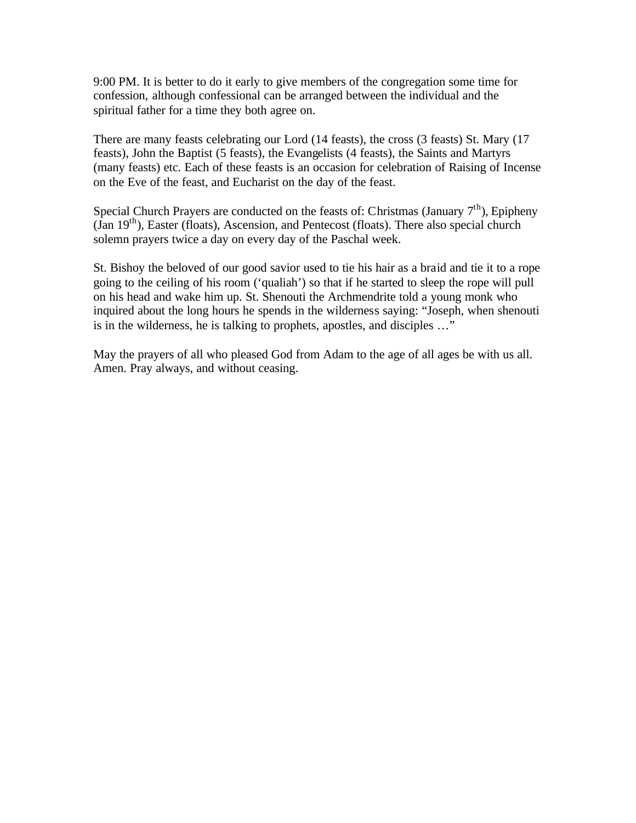9:00 PM. It is better to do it early to give members of the congregation some time for confession, although confessional can be arranged between the individual and the spiritual father for a time they both agree on.

There are many feasts celebrating our Lord (14 feasts), the cross (3 feasts) St. Mary (17 feasts), John the Baptist (5 feasts), the Evangelists (4 feasts), the Saints and Martyrs (many feasts) etc. Each of these feasts is an occasion for celebration of Raising of Incense on the Eve of the feast, and Eucharist on the day of the feast.

Special Church Prayers are conducted on the feasts of: Christmas (January  $7<sup>th</sup>$ ), Epipheny (Jan 19th), Easter (floats), Ascension, and Pentecost (floats). There also special church solemn prayers twice a day on every day of the Paschal week.

St. Bishoy the beloved of our good savior used to tie his hair as a braid and tie it to a rope going to the ceiling of his room ('qualiah') so that if he started to sleep the rope will pull on his head and wake him up. St. Shenouti the Archmendrite told a young monk who inquired about the long hours he spends in the wilderness saying: "Joseph, when shenouti is in the wilderness, he is talking to prophets, apostles, and disciples …"

May the prayers of all who pleased God from Adam to the age of all ages be with us all. Amen. Pray always, and without ceasing.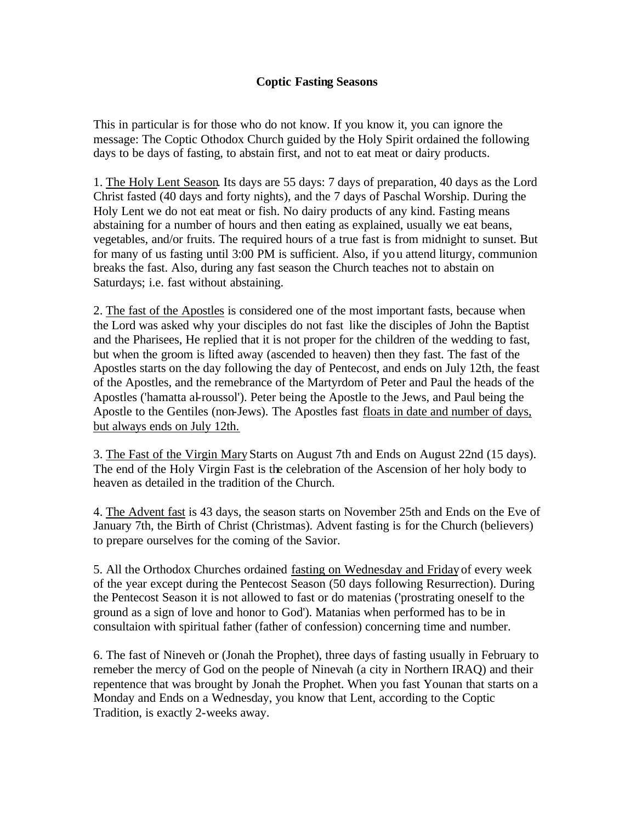### **Coptic Fasting Seasons**

This in particular is for those who do not know. If you know it, you can ignore the message: The Coptic Othodox Church guided by the Holy Spirit ordained the following days to be days of fasting, to abstain first, and not to eat meat or dairy products.

1. The Holy Lent Season. Its days are 55 days: 7 days of preparation, 40 days as the Lord Christ fasted (40 days and forty nights), and the 7 days of Paschal Worship. During the Holy Lent we do not eat meat or fish. No dairy products of any kind. Fasting means abstaining for a number of hours and then eating as explained, usually we eat beans, vegetables, and/or fruits. The required hours of a true fast is from midnight to sunset. But for many of us fasting until 3:00 PM is sufficient. Also, if you attend liturgy, communion breaks the fast. Also, during any fast season the Church teaches not to abstain on Saturdays; i.e. fast without abstaining.

2. The fast of the Apostles is considered one of the most important fasts, because when the Lord was asked why your disciples do not fast like the disciples of John the Baptist and the Pharisees, He replied that it is not proper for the children of the wedding to fast, but when the groom is lifted away (ascended to heaven) then they fast. The fast of the Apostles starts on the day following the day of Pentecost, and ends on July 12th, the feast of the Apostles, and the remebrance of the Martyrdom of Peter and Paul the heads of the Apostles ('hamatta al-roussol'). Peter being the Apostle to the Jews, and Paul being the Apostle to the Gentiles (non-Jews). The Apostles fast floats in date and number of days, but always ends on July 12th.

3. The Fast of the Virgin Mary Starts on August 7th and Ends on August 22nd (15 days). The end of the Holy Virgin Fast is the celebration of the Ascension of her holy body to heaven as detailed in the tradition of the Church.

4. The Advent fast is 43 days, the season starts on November 25th and Ends on the Eve of January 7th, the Birth of Christ (Christmas). Advent fasting is for the Church (believers) to prepare ourselves for the coming of the Savior.

5. All the Orthodox Churches ordained fasting on Wednesday and Friday of every week of the year except during the Pentecost Season (50 days following Resurrection). During the Pentecost Season it is not allowed to fast or do matenias ('prostrating oneself to the ground as a sign of love and honor to God'). Matanias when performed has to be in consultaion with spiritual father (father of confession) concerning time and number.

6. The fast of Nineveh or (Jonah the Prophet), three days of fasting usually in February to remeber the mercy of God on the people of Ninevah (a city in Northern IRAQ) and their repentence that was brought by Jonah the Prophet. When you fast Younan that starts on a Monday and Ends on a Wednesday, you know that Lent, according to the Coptic Tradition, is exactly 2-weeks away.